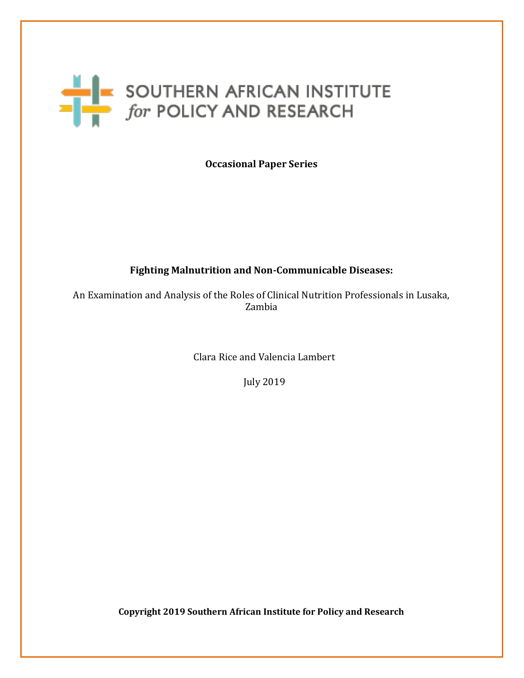# SOUTHERN AFRICAN INSTITUTE

**Occasional Paper Series**

#### **Fighting Malnutrition and Non-Communicable Diseases:**

An Examination and Analysis of the Roles of Clinical Nutrition Professionals in Lusaka, Zambia

Clara Rice and Valencia Lambert

July 2019

**Copyright 2019 Southern African Institute for Policy and Research**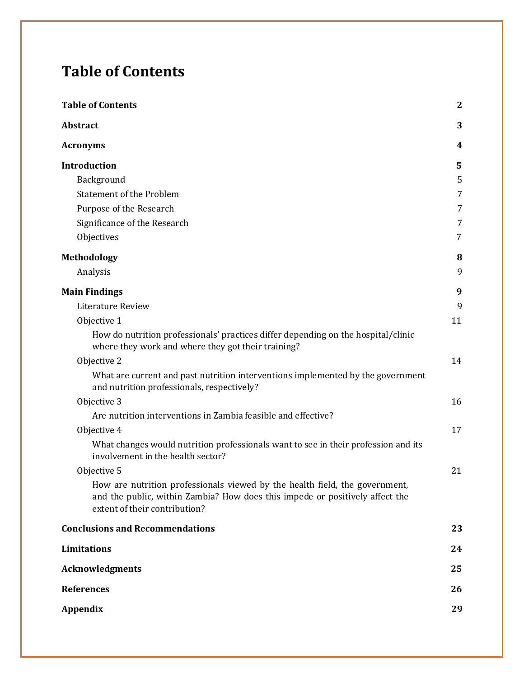# <span id="page-1-0"></span>**Table of Contents**

| <b>Table of Contents</b>                                                                                                                                                                     | $\mathbf{2}$ |
|----------------------------------------------------------------------------------------------------------------------------------------------------------------------------------------------|--------------|
| Abstract                                                                                                                                                                                     | 3            |
| <b>Acronyms</b>                                                                                                                                                                              | 4            |
| Introduction                                                                                                                                                                                 | 5            |
| Background                                                                                                                                                                                   | 5            |
| <b>Statement of the Problem</b>                                                                                                                                                              | 7            |
| Purpose of the Research                                                                                                                                                                      | 7            |
| Significance of the Research                                                                                                                                                                 | 7            |
| Objectives                                                                                                                                                                                   | 7            |
| <b>Methodology</b>                                                                                                                                                                           | 8            |
| Analysis                                                                                                                                                                                     | 9            |
| <b>Main Findings</b>                                                                                                                                                                         | 9            |
| Literature Review                                                                                                                                                                            | 9            |
| Objective 1                                                                                                                                                                                  | 11           |
| How do nutrition professionals' practices differ depending on the hospital/clinic<br>where they work and where they got their training?                                                      |              |
| Objective 2                                                                                                                                                                                  | 14           |
| What are current and past nutrition interventions implemented by the government<br>and nutrition professionals, respectively?                                                                |              |
| Objective 3                                                                                                                                                                                  | 16           |
| Are nutrition interventions in Zambia feasible and effective?                                                                                                                                |              |
| Objective 4                                                                                                                                                                                  | 17           |
| What changes would nutrition professionals want to see in their profession and its<br>involvement in the health sector?                                                                      |              |
| Objective 5                                                                                                                                                                                  | 21           |
| How are nutrition professionals viewed by the health field, the government,<br>and the public, within Zambia? How does this impede or positively affect the<br>extent of their contribution? |              |
| <b>Conclusions and Recommendations</b>                                                                                                                                                       | 23           |
| Limitations                                                                                                                                                                                  | 24           |
| <b>Acknowledgments</b>                                                                                                                                                                       | 25           |
| <b>References</b>                                                                                                                                                                            | 26           |
| <b>Appendix</b>                                                                                                                                                                              | 29           |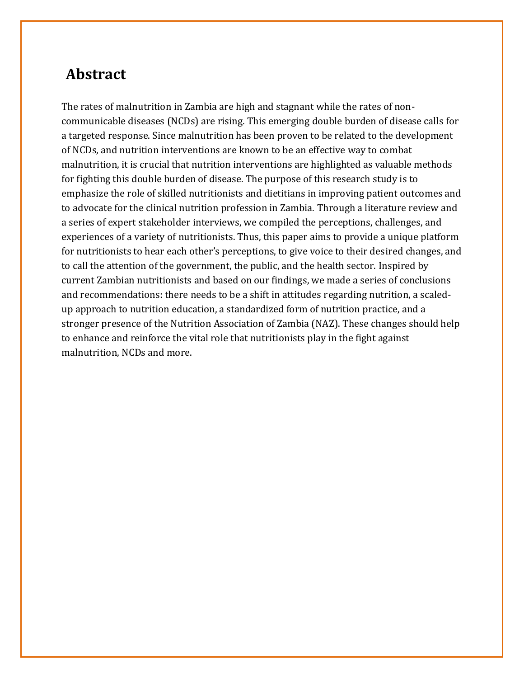## <span id="page-2-0"></span>**Abstract**

The rates of malnutrition in Zambia are high and stagnant while the rates of noncommunicable diseases (NCDs) are rising. This emerging double burden of disease calls for a targeted response. Since malnutrition has been proven to be related to the development of NCDs, and nutrition interventions are known to be an effective way to combat malnutrition, it is crucial that nutrition interventions are highlighted as valuable methods for fighting this double burden of disease. The purpose of this research study is to emphasize the role of skilled nutritionists and dietitians in improving patient outcomes and to advocate for the clinical nutrition profession in Zambia. Through a literature review and a series of expert stakeholder interviews, we compiled the perceptions, challenges, and experiences of a variety of nutritionists. Thus, this paper aims to provide a unique platform for nutritionists to hear each other's perceptions, to give voice to their desired changes, and to call the attention of the government, the public, and the health sector. Inspired by current Zambian nutritionists and based on our findings, we made a series of conclusions and recommendations: there needs to be a shift in attitudes regarding nutrition, a scaledup approach to nutrition education, a standardized form of nutrition practice, and a stronger presence of the Nutrition Association of Zambia (NAZ). These changes should help to enhance and reinforce the vital role that nutritionists play in the fight against malnutrition, NCDs and more.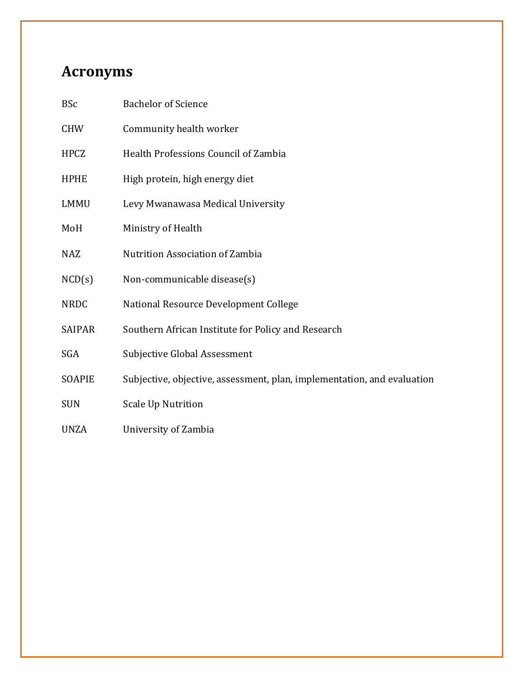## <span id="page-3-0"></span>**Acronyms**

| <b>BSc</b>    | <b>Bachelor of Science</b>                                              |
|---------------|-------------------------------------------------------------------------|
| <b>CHW</b>    | Community health worker                                                 |
| <b>HPCZ</b>   | Health Professions Council of Zambia                                    |
| <b>HPHE</b>   | High protein, high energy diet                                          |
| <b>LMMU</b>   | Levy Mwanawasa Medical University                                       |
| MoH           | Ministry of Health                                                      |
| <b>NAZ</b>    | <b>Nutrition Association of Zambia</b>                                  |
| NCD(s)        | Non-communicable disease(s)                                             |
| <b>NRDC</b>   | National Resource Development College                                   |
| <b>SAIPAR</b> | Southern African Institute for Policy and Research                      |
| <b>SGA</b>    | Subjective Global Assessment                                            |
| SOAPIE        | Subjective, objective, assessment, plan, implementation, and evaluation |
| <b>SUN</b>    | <b>Scale Up Nutrition</b>                                               |
| <b>UNZA</b>   | University of Zambia                                                    |
|               |                                                                         |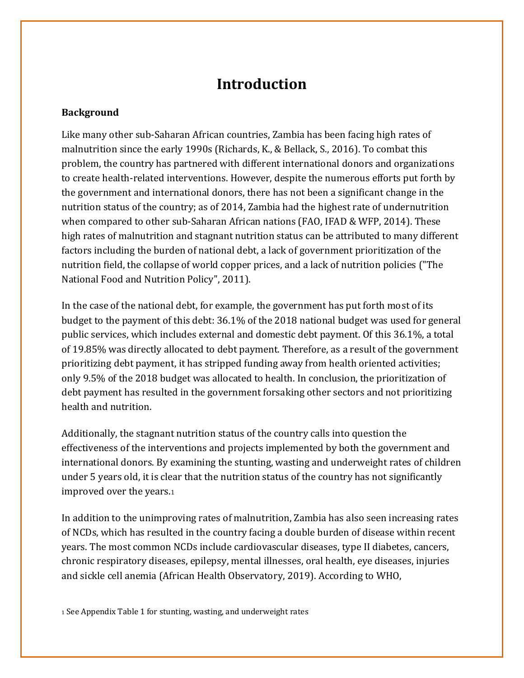## **Introduction**

#### <span id="page-4-1"></span><span id="page-4-0"></span>**Background**

Like many other sub-Saharan African countries, Zambia has been facing high rates of malnutrition since the early 1990s (Richards, K., & Bellack, S., 2016). To combat this problem, the country has partnered with different international donors and organizations to create health-related interventions. However, despite the numerous efforts put forth by the government and international donors, there has not been a significant change in the nutrition status of the country; as of 2014, Zambia had the highest rate of undernutrition when compared to other sub-Saharan African nations (FAO, IFAD & WFP, 2014). These high rates of malnutrition and stagnant nutrition status can be attributed to many different factors including the burden of national debt, a lack of government prioritization of the nutrition field, the collapse of world copper prices, and a lack of nutrition policies ("The National Food and Nutrition Policy", 2011).

In the case of the national debt, for example, the government has put forth most of its budget to the payment of this debt: 36.1% of the 2018 national budget was used for general public services, which includes external and domestic debt payment. Of this 36.1%, a total of 19.85% was directly allocated to debt payment. Therefore, as a result of the government prioritizing debt payment, it has stripped funding away from health oriented activities; only 9.5% of the 2018 budget was allocated to health. In conclusion, the prioritization of debt payment has resulted in the government forsaking other sectors and not prioritizing health and nutrition.

Additionally, the stagnant nutrition status of the country calls into question the effectiveness of the interventions and projects implemented by both the government and international donors. By examining the stunting, wasting and underweight rates of children under 5 years old, it is clear that the nutrition status of the country has not significantly improved over the years.<sup>1</sup>

In addition to the unimproving rates of malnutrition, Zambia has also seen increasing rates of NCDs, which has resulted in the country facing a double burden of disease within recent years. The most common NCDs include cardiovascular diseases, type II diabetes, cancers, chronic respiratory diseases, epilepsy, mental illnesses, oral health, eye diseases, injuries and sickle cell anemia (African Health Observatory, 2019). According to WHO,

<sup>1</sup> See Appendix Table 1 for stunting, wasting, and underweight rates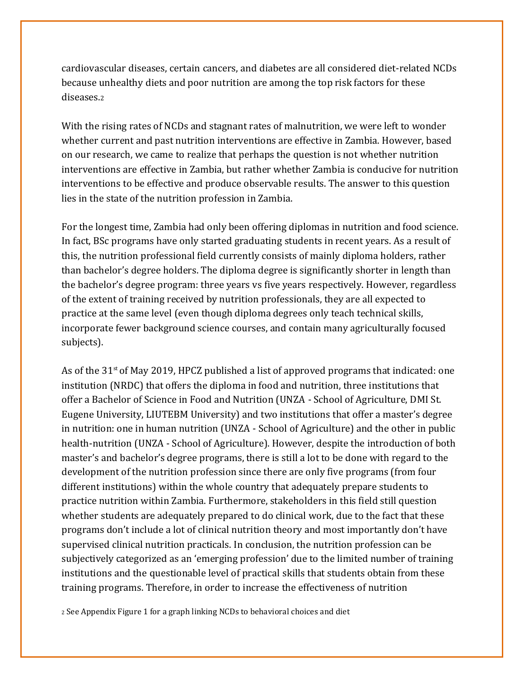cardiovascular diseases, certain cancers, and diabetes are all considered diet-related NCDs because unhealthy diets and poor nutrition are among the top risk factors for these diseases.<sup>2</sup>

With the rising rates of NCDs and stagnant rates of malnutrition, we were left to wonder whether current and past nutrition interventions are effective in Zambia. However, based on our research, we came to realize that perhaps the question is not whether nutrition interventions are effective in Zambia, but rather whether Zambia is conducive for nutrition interventions to be effective and produce observable results. The answer to this question lies in the state of the nutrition profession in Zambia.

For the longest time, Zambia had only been offering diplomas in nutrition and food science. In fact, BSc programs have only started graduating students in recent years. As a result of this, the nutrition professional field currently consists of mainly diploma holders, rather than bachelor's degree holders. The diploma degree is significantly shorter in length than the bachelor's degree program: three years vs five years respectively. However, regardless of the extent of training received by nutrition professionals, they are all expected to practice at the same level (even though diploma degrees only teach technical skills, incorporate fewer background science courses, and contain many agriculturally focused subjects).

As of the  $31<sup>st</sup>$  of May 2019, HPCZ published a list of approved programs that indicated: one institution (NRDC) that offers the diploma in food and nutrition, three institutions that offer a Bachelor of Science in Food and Nutrition (UNZA - School of Agriculture, DMI St. Eugene University, LIUTEBM University) and two institutions that offer a master's degree in nutrition: one in human nutrition (UNZA - School of Agriculture) and the other in public health-nutrition (UNZA - School of Agriculture). However, despite the introduction of both master's and bachelor's degree programs, there is still a lot to be done with regard to the development of the nutrition profession since there are only five programs (from four different institutions) within the whole country that adequately prepare students to practice nutrition within Zambia. Furthermore, stakeholders in this field still question whether students are adequately prepared to do clinical work, due to the fact that these programs don't include a lot of clinical nutrition theory and most importantly don't have supervised clinical nutrition practicals. In conclusion, the nutrition profession can be subjectively categorized as an 'emerging profession' due to the limited number of training institutions and the questionable level of practical skills that students obtain from these training programs. Therefore, in order to increase the effectiveness of nutrition

<sup>2</sup> See Appendix Figure 1 for a graph linking NCDs to behavioral choices and diet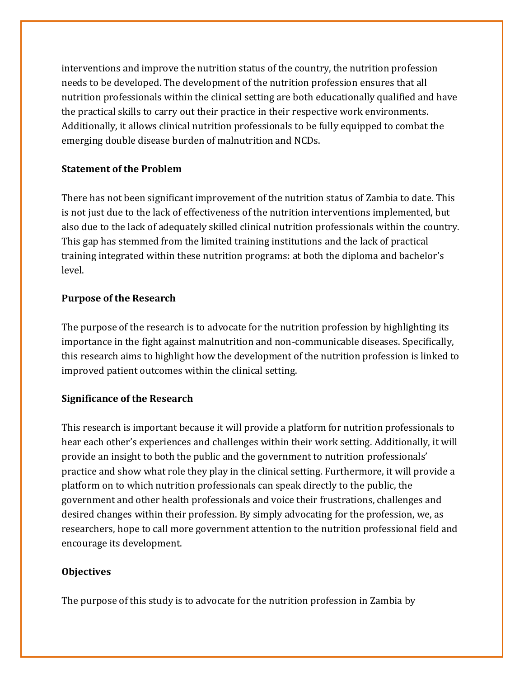interventions and improve the nutrition status of the country, the nutrition profession needs to be developed. The development of the nutrition profession ensures that all nutrition professionals within the clinical setting are both educationally qualified and have the practical skills to carry out their practice in their respective work environments. Additionally, it allows clinical nutrition professionals to be fully equipped to combat the emerging double disease burden of malnutrition and NCDs.

#### <span id="page-6-0"></span>**Statement of the Problem**

There has not been significant improvement of the nutrition status of Zambia to date. This is not just due to the lack of effectiveness of the nutrition interventions implemented, but also due to the lack of adequately skilled clinical nutrition professionals within the country. This gap has stemmed from the limited training institutions and the lack of practical training integrated within these nutrition programs: at both the diploma and bachelor's level.

#### <span id="page-6-1"></span>**Purpose of the Research**

The purpose of the research is to advocate for the nutrition profession by highlighting its importance in the fight against malnutrition and non-communicable diseases. Specifically, this research aims to highlight how the development of the nutrition profession is linked to improved patient outcomes within the clinical setting.

#### <span id="page-6-2"></span>**Significance of the Research**

This research is important because it will provide a platform for nutrition professionals to hear each other's experiences and challenges within their work setting. Additionally, it will provide an insight to both the public and the government to nutrition professionals' practice and show what role they play in the clinical setting. Furthermore, it will provide a platform on to which nutrition professionals can speak directly to the public, the government and other health professionals and voice their frustrations, challenges and desired changes within their profession. By simply advocating for the profession, we, as researchers, hope to call more government attention to the nutrition professional field and encourage its development.

#### <span id="page-6-3"></span>**Objectives**

The purpose of this study is to advocate for the nutrition profession in Zambia by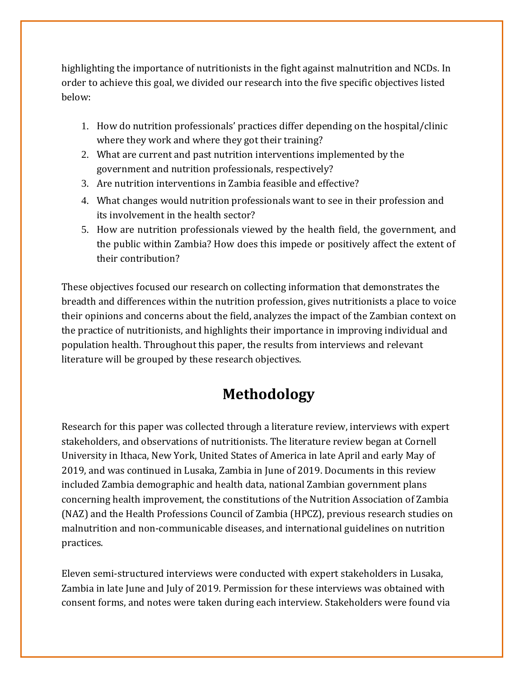highlighting the importance of nutritionists in the fight against malnutrition and NCDs. In order to achieve this goal, we divided our research into the five specific objectives listed below:

- 1. How do nutrition professionals' practices differ depending on the hospital/clinic where they work and where they got their training?
- 2. What are current and past nutrition interventions implemented by the government and nutrition professionals, respectively?
- 3. Are nutrition interventions in Zambia feasible and effective?
- 4. What changes would nutrition professionals want to see in their profession and its involvement in the health sector?
- 5. How are nutrition professionals viewed by the health field, the government, and the public within Zambia? How does this impede or positively affect the extent of their contribution?

These objectives focused our research on collecting information that demonstrates the breadth and differences within the nutrition profession, gives nutritionists a place to voice their opinions and concerns about the field, analyzes the impact of the Zambian context on the practice of nutritionists, and highlights their importance in improving individual and population health. Throughout this paper, the results from interviews and relevant literature will be grouped by these research objectives.

## **Methodology**

Research for this paper was collected through a literature review, interviews with expert stakeholders, and observations of nutritionists. The literature review began at Cornell University in Ithaca, New York, United States of America in late April and early May of 2019, and was continued in Lusaka, Zambia in June of 2019. Documents in this review included Zambia demographic and health data, national Zambian government plans concerning health improvement, the constitutions of the Nutrition Association of Zambia (NAZ) and the Health Professions Council of Zambia (HPCZ), previous research studies on malnutrition and non-communicable diseases, and international guidelines on nutrition practices.

Eleven semi-structured interviews were conducted with expert stakeholders in Lusaka, Zambia in late June and July of 2019. Permission for these interviews was obtained with consent forms, and notes were taken during each interview. Stakeholders were found via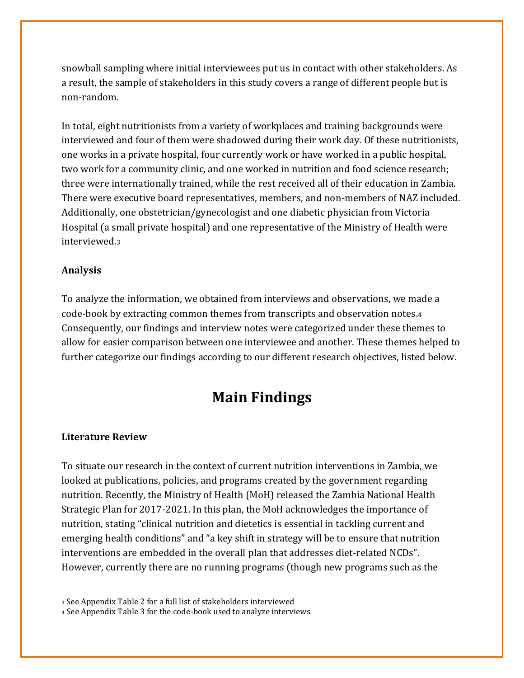snowball sampling where initial interviewees put us in contact with other stakeholders. As a result, the sample of stakeholders in this study covers a range of different people but is non-random.

In total, eight nutritionists from a variety of workplaces and training backgrounds were interviewed and four of them were shadowed during their work day. Of these nutritionists, one works in a private hospital, four currently work or have worked in a public hospital, two work for a community clinic, and one worked in nutrition and food science research; three were internationally trained, while the rest received all of their education in Zambia. There were executive board representatives, members, and non-members of NAZ included. Additionally, one obstetrician/gynecologist and one diabetic physician from Victoria Hospital (a small private hospital) and one representative of the Ministry of Health were interviewed.<sup>3</sup>

#### **Analysis**

To analyze the information, we obtained from interviews and observations, we made a code-book by extracting common themes from transcripts and observation notes.<sup>4</sup> Consequently, our findings and interview notes were categorized under these themes to allow for easier comparison between one interviewee and another. These themes helped to further categorize our findings according to our different research objectives, listed below.

## **Main Findings**

#### **Literature Review**

To situate our research in the context of current nutrition interventions in Zambia, we looked at publications, policies, and programs created by the government regarding nutrition. Recently, the Ministry of Health (MoH) released the Zambia National Health Strategic Plan for 2017-2021. In this plan, the MoH acknowledges the importance of nutrition, stating "clinical nutrition and dietetics is essential in tackling current and emerging health conditions" and "a key shift in strategy will be to ensure that nutrition interventions are embedded in the overall plan that addresses diet-related NCDs". However, currently there are no running programs (though new programs such as the

<sup>3</sup> See Appendix Table 2 for a full list of stakeholders interviewed

<sup>4</sup> See Appendix Table 3 for the code-book used to analyze interviews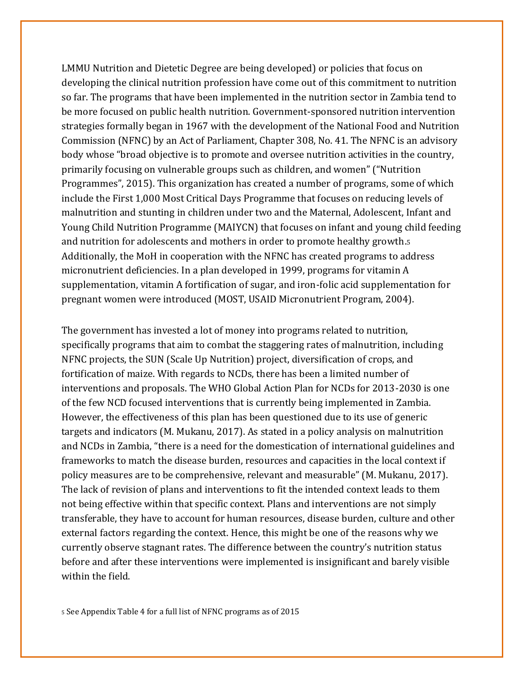LMMU Nutrition and Dietetic Degree are being developed) or policies that focus on developing the clinical nutrition profession have come out of this commitment to nutrition so far. The programs that have been implemented in the nutrition sector in Zambia tend to be more focused on public health nutrition. Government-sponsored nutrition intervention strategies formally began in 1967 with the development of the National Food and Nutrition Commission (NFNC) by an Act of Parliament, Chapter 308, No. 41. The NFNC is an advisory body whose "broad objective is to promote and oversee nutrition activities in the country, primarily focusing on vulnerable groups such as children, and women" ("Nutrition Programmes", 2015). This organization has created a number of programs, some of which include the First 1,000 Most Critical Days Programme that focuses on reducing levels of malnutrition and stunting in children under two and the Maternal, Adolescent, Infant and Young Child Nutrition Programme (MAIYCN) that focuses on infant and young child feeding and nutrition for adolescents and mothers in order to promote healthy growth.<sup>5</sup> Additionally, the MoH in cooperation with the NFNC has created programs to address micronutrient deficiencies. In a plan developed in 1999, programs for vitamin A supplementation, vitamin A fortification of sugar, and iron-folic acid supplementation for pregnant women were introduced (MOST, USAID Micronutrient Program, 2004).

The government has invested a lot of money into programs related to nutrition, specifically programs that aim to combat the staggering rates of malnutrition, including NFNC projects, the SUN (Scale Up Nutrition) project, diversification of crops, and fortification of maize. With regards to NCDs, there has been a limited number of interventions and proposals. The WHO Global Action Plan for NCDs for 2013-2030 is one of the few NCD focused interventions that is currently being implemented in Zambia. However, the effectiveness of this plan has been questioned due to its use of generic targets and indicators (M. Mukanu, 2017). As stated in a policy analysis on malnutrition and NCDs in Zambia, "there is a need for the domestication of international guidelines and frameworks to match the disease burden, resources and capacities in the local context if policy measures are to be comprehensive, relevant and measurable" (M. Mukanu, 2017). The lack of revision of plans and interventions to fit the intended context leads to them not being effective within that specific context. Plans and interventions are not simply transferable, they have to account for human resources, disease burden, culture and other external factors regarding the context. Hence, this might be one of the reasons why we currently observe stagnant rates. The difference between the country's nutrition status before and after these interventions were implemented is insignificant and barely visible within the field.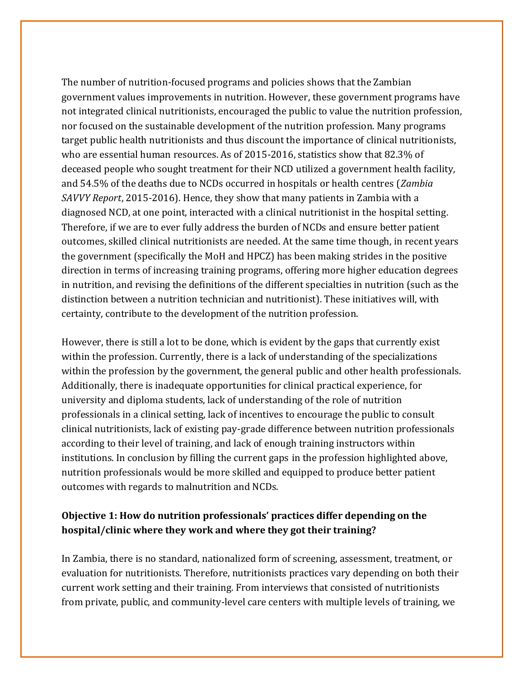The number of nutrition-focused programs and policies shows that the Zambian government values improvements in nutrition. However, these government programs have not integrated clinical nutritionists, encouraged the public to value the nutrition profession, nor focused on the sustainable development of the nutrition profession. Many programs target public health nutritionists and thus discount the importance of clinical nutritionists, who are essential human resources. As of 2015-2016, statistics show that 82.3% of deceased people who sought treatment for their NCD utilized a government health facility, and 54.5% of the deaths due to NCDs occurred in hospitals or health centres (*Zambia SAVVY Report*, 2015-2016). Hence, they show that many patients in Zambia with a diagnosed NCD, at one point, interacted with a clinical nutritionist in the hospital setting. Therefore, if we are to ever fully address the burden of NCDs and ensure better patient outcomes, skilled clinical nutritionists are needed. At the same time though, in recent years the government (specifically the MoH and HPCZ) has been making strides in the positive direction in terms of increasing training programs, offering more higher education degrees in nutrition, and revising the definitions of the different specialties in nutrition (such as the distinction between a nutrition technician and nutritionist). These initiatives will, with certainty, contribute to the development of the nutrition profession.

However, there is still a lot to be done, which is evident by the gaps that currently exist within the profession. Currently, there is a lack of understanding of the specializations within the profession by the government, the general public and other health professionals. Additionally, there is inadequate opportunities for clinical practical experience, for university and diploma students, lack of understanding of the role of nutrition professionals in a clinical setting, lack of incentives to encourage the public to consult clinical nutritionists, lack of existing pay-grade difference between nutrition professionals according to their level of training, and lack of enough training instructors within institutions. In conclusion by filling the current gaps in the profession highlighted above, nutrition professionals would be more skilled and equipped to produce better patient outcomes with regards to malnutrition and NCDs.

#### **Objective 1: How do nutrition professionals' practices differ depending on the hospital/clinic where they work and where they got their training?**

In Zambia, there is no standard, nationalized form of screening, assessment, treatment, or evaluation for nutritionists. Therefore, nutritionists practices vary depending on both their current work setting and their training. From interviews that consisted of nutritionists from private, public, and community-level care centers with multiple levels of training, we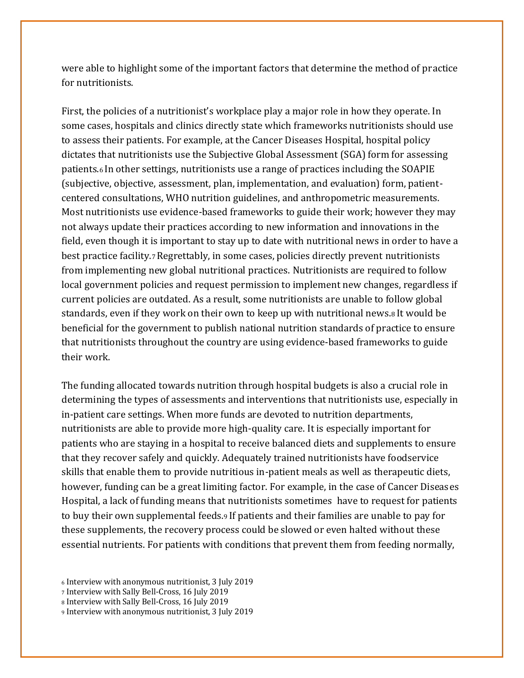were able to highlight some of the important factors that determine the method of practice for nutritionists.

First, the policies of a nutritionist's workplace play a major role in how they operate. In some cases, hospitals and clinics directly state which frameworks nutritionists should use to assess their patients. For example, at the Cancer Diseases Hospital, hospital policy dictates that nutritionists use the Subjective Global Assessment (SGA) form for assessing patients.<sup>6</sup> In other settings, nutritionists use a range of practices including the SOAPIE (subjective, objective, assessment, plan, implementation, and evaluation) form, patientcentered consultations, WHO nutrition guidelines, and anthropometric measurements. Most nutritionists use evidence-based frameworks to guide their work; however they may not always update their practices according to new information and innovations in the field, even though it is important to stay up to date with nutritional news in order to have a best practice facility.7Regrettably, in some cases, policies directly prevent nutritionists from implementing new global nutritional practices. Nutritionists are required to follow local government policies and request permission to implement new changes, regardless if current policies are outdated. As a result, some nutritionists are unable to follow global standards, even if they work on their own to keep up with nutritional news.<sup>8</sup> It would be beneficial for the government to publish national nutrition standards of practice to ensure that nutritionists throughout the country are using evidence-based frameworks to guide their work.

The funding allocated towards nutrition through hospital budgets is also a crucial role in determining the types of assessments and interventions that nutritionists use, especially in in-patient care settings. When more funds are devoted to nutrition departments, nutritionists are able to provide more high-quality care. It is especially important for patients who are staying in a hospital to receive balanced diets and supplements to ensure that they recover safely and quickly. Adequately trained nutritionists have foodservice skills that enable them to provide nutritious in-patient meals as well as therapeutic diets, however, funding can be a great limiting factor. For example, in the case of Cancer Diseases Hospital, a lack of funding means that nutritionists sometimes have to request for patients to buy their own supplemental feeds.<sup>9</sup> If patients and their families are unable to pay for these supplements, the recovery process could be slowed or even halted without these essential nutrients. For patients with conditions that prevent them from feeding normally,

<sup>6</sup> Interview with anonymous nutritionist, 3 July 2019

<sup>7</sup> Interview with Sally Bell-Cross, 16 July 2019

<sup>8</sup> Interview with Sally Bell-Cross, 16 July 2019

<sup>9</sup> Interview with anonymous nutritionist, 3 July 2019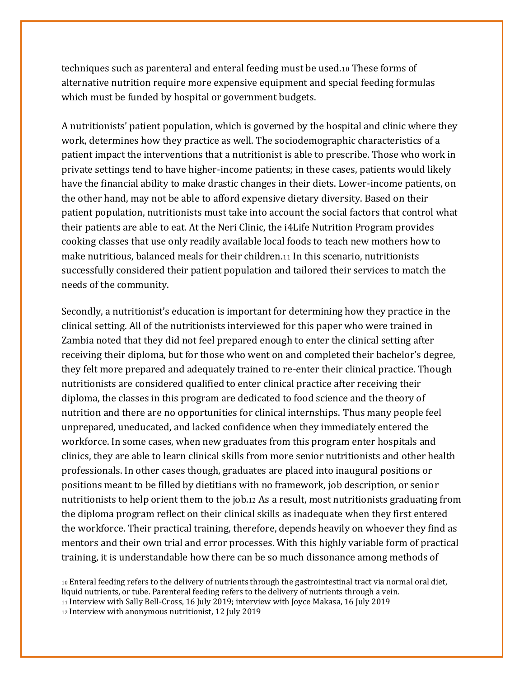techniques such as parenteral and enteral feeding must be used.<sup>10</sup> These forms of alternative nutrition require more expensive equipment and special feeding formulas which must be funded by hospital or government budgets.

A nutritionists' patient population, which is governed by the hospital and clinic where they work, determines how they practice as well. The sociodemographic characteristics of a patient impact the interventions that a nutritionist is able to prescribe. Those who work in private settings tend to have higher-income patients; in these cases, patients would likely have the financial ability to make drastic changes in their diets. Lower-income patients, on the other hand, may not be able to afford expensive dietary diversity. Based on their patient population, nutritionists must take into account the social factors that control what their patients are able to eat. At the Neri Clinic, the i4Life Nutrition Program provides cooking classes that use only readily available local foods to teach new mothers how to make nutritious, balanced meals for their children.<sup>11</sup> In this scenario, nutritionists successfully considered their patient population and tailored their services to match the needs of the community.

Secondly, a nutritionist's education is important for determining how they practice in the clinical setting. All of the nutritionists interviewed for this paper who were trained in Zambia noted that they did not feel prepared enough to enter the clinical setting after receiving their diploma, but for those who went on and completed their bachelor's degree, they felt more prepared and adequately trained to re-enter their clinical practice. Though nutritionists are considered qualified to enter clinical practice after receiving their diploma, the classes in this program are dedicated to food science and the theory of nutrition and there are no opportunities for clinical internships. Thus many people feel unprepared, uneducated, and lacked confidence when they immediately entered the workforce. In some cases, when new graduates from this program enter hospitals and clinics, they are able to learn clinical skills from more senior nutritionists and other health professionals. In other cases though, graduates are placed into inaugural positions or positions meant to be filled by dietitians with no framework, job description, or senior nutritionists to help orient them to the job.<sup>12</sup> As a result, most nutritionists graduating from the diploma program reflect on their clinical skills as inadequate when they first entered the workforce. Their practical training, therefore, depends heavily on whoever they find as mentors and their own trial and error processes. With this highly variable form of practical training, it is understandable how there can be so much dissonance among methods of

 Enteral feeding refers to the delivery of nutrients through the gastrointestinal tract via normal oral diet, liquid nutrients, or tube. Parenteral feeding refers to the delivery of nutrients through a vein. Interview with Sally Bell-Cross, 16 July 2019; interview with Joyce Makasa, 16 July 2019 Interview with anonymous nutritionist, 12 July 2019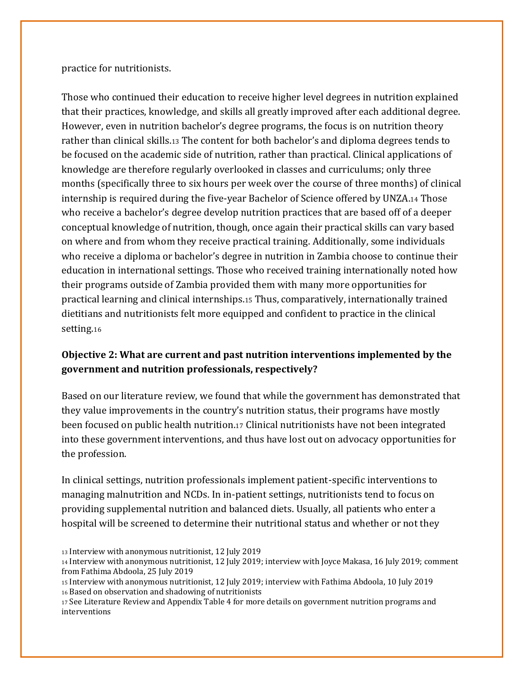practice for nutritionists.

Those who continued their education to receive higher level degrees in nutrition explained that their practices, knowledge, and skills all greatly improved after each additional degree. However, even in nutrition bachelor's degree programs, the focus is on nutrition theory rather than clinical skills.<sup>13</sup> The content for both bachelor's and diploma degrees tends to be focused on the academic side of nutrition, rather than practical. Clinical applications of knowledge are therefore regularly overlooked in classes and curriculums; only three months (specifically three to six hours per week over the course of three months) of clinical internship is required during the five-year Bachelor of Science offered by UNZA.<sup>14</sup> Those who receive a bachelor's degree develop nutrition practices that are based off of a deeper conceptual knowledge of nutrition, though, once again their practical skills can vary based on where and from whom they receive practical training. Additionally, some individuals who receive a diploma or bachelor's degree in nutrition in Zambia choose to continue their education in international settings. Those who received training internationally noted how their programs outside of Zambia provided them with many more opportunities for practical learning and clinical internships.<sup>15</sup> Thus, comparatively, internationally trained dietitians and nutritionists felt more equipped and confident to practice in the clinical setting.<sup>16</sup>

#### **Objective 2: What are current and past nutrition interventions implemented by the government and nutrition professionals, respectively?**

Based on our literature review, we found that while the government has demonstrated that they value improvements in the country's nutrition status, their programs have mostly been focused on public health nutrition.<sup>17</sup> Clinical nutritionists have not been integrated into these government interventions, and thus have lost out on advocacy opportunities for the profession.

In clinical settings, nutrition professionals implement patient-specific interventions to managing malnutrition and NCDs. In in-patient settings, nutritionists tend to focus on providing supplemental nutrition and balanced diets. Usually, all patients who enter a hospital will be screened to determine their nutritional status and whether or not they

<sup>13</sup> Interview with anonymous nutritionist, 12 July 2019

<sup>14</sup> Interview with anonymous nutritionist, 12 July 2019; interview with Joyce Makasa, 16 July 2019; comment from Fathima Abdoola, 25 July 2019

<sup>15</sup> Interview with anonymous nutritionist, 12 July 2019; interview with Fathima Abdoola, 10 July 2019 <sup>16</sup> Based on observation and shadowing of nutritionists

<sup>17</sup> See Literature Review and Appendix Table 4 for more details on government nutrition programs and interventions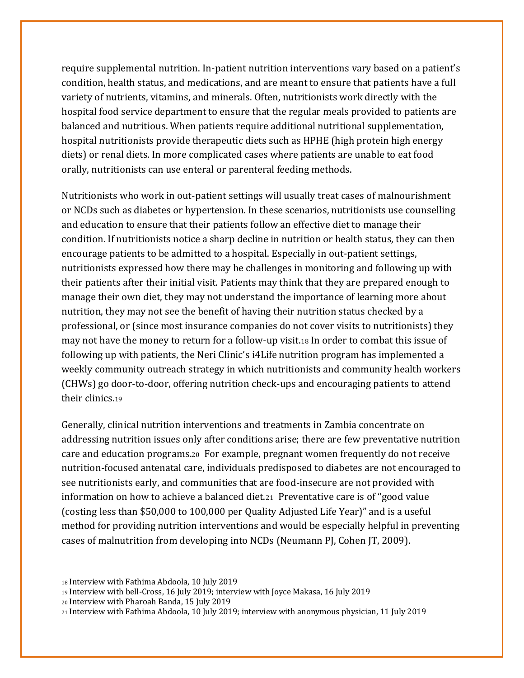require supplemental nutrition. In-patient nutrition interventions vary based on a patient's condition, health status, and medications, and are meant to ensure that patients have a full variety of nutrients, vitamins, and minerals. Often, nutritionists work directly with the hospital food service department to ensure that the regular meals provided to patients are balanced and nutritious. When patients require additional nutritional supplementation, hospital nutritionists provide therapeutic diets such as HPHE (high protein high energy diets) or renal diets. In more complicated cases where patients are unable to eat food orally, nutritionists can use enteral or parenteral feeding methods.

Nutritionists who work in out-patient settings will usually treat cases of malnourishment or NCDs such as diabetes or hypertension. In these scenarios, nutritionists use counselling and education to ensure that their patients follow an effective diet to manage their condition. If nutritionists notice a sharp decline in nutrition or health status, they can then encourage patients to be admitted to a hospital. Especially in out-patient settings, nutritionists expressed how there may be challenges in monitoring and following up with their patients after their initial visit. Patients may think that they are prepared enough to manage their own diet, they may not understand the importance of learning more about nutrition, they may not see the benefit of having their nutrition status checked by a professional, or (since most insurance companies do not cover visits to nutritionists) they may not have the money to return for a follow-up visit.<sup>18</sup> In order to combat this issue of following up with patients, the Neri Clinic's i4Life nutrition program has implemented a weekly community outreach strategy in which nutritionists and community health workers (CHWs) go door-to-door, offering nutrition check-ups and encouraging patients to attend their clinics.<sup>19</sup>

Generally, clinical nutrition interventions and treatments in Zambia concentrate on addressing nutrition issues only after conditions arise; there are few preventative nutrition care and education programs.<sup>20</sup> For example, pregnant women frequently do not receive nutrition-focused antenatal care, individuals predisposed to diabetes are not encouraged to see nutritionists early, and communities that are food-insecure are not provided with information on how to achieve a balanced diet.<sup>21</sup> Preventative care is of "good value (costing less than \$50,000 to 100,000 per Quality Adjusted Life Year)" and is a useful method for providing nutrition interventions and would be especially helpful in preventing cases of malnutrition from developing into NCDs (Neumann PJ, Cohen JT, 2009).

<sup>18</sup> Interview with Fathima Abdoola, 10 July 2019

<sup>19</sup> Interview with bell-Cross, 16 July 2019; interview with Joyce Makasa, 16 July 2019

<sup>20</sup> Interview with Pharoah Banda, 15 July 2019

<sup>21</sup> Interview with Fathima Abdoola, 10 July 2019; interview with anonymous physician, 11 July 2019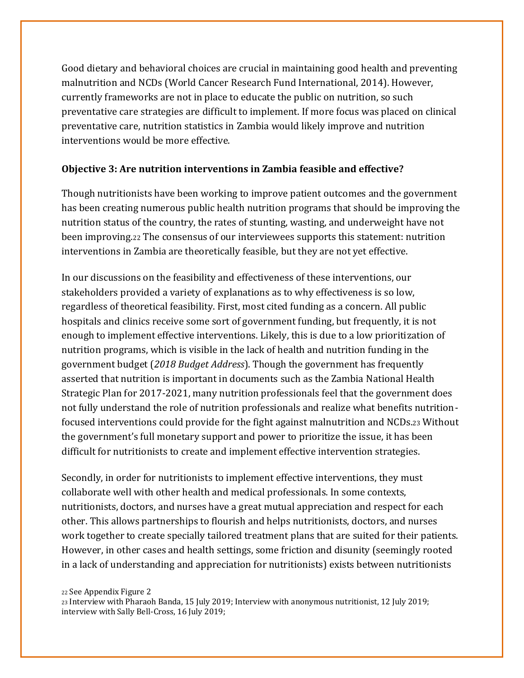Good dietary and behavioral choices are crucial in maintaining good health and preventing malnutrition and NCDs (World Cancer Research Fund International, 2014). However, currently frameworks are not in place to educate the public on nutrition, so such preventative care strategies are difficult to implement. If more focus was placed on clinical preventative care, nutrition statistics in Zambia would likely improve and nutrition interventions would be more effective.

#### **Objective 3: Are nutrition interventions in Zambia feasible and effective?**

Though nutritionists have been working to improve patient outcomes and the government has been creating numerous public health nutrition programs that should be improving the nutrition status of the country, the rates of stunting, wasting, and underweight have not been improving.<sup>22</sup> The consensus of our interviewees supports this statement: nutrition interventions in Zambia are theoretically feasible, but they are not yet effective.

In our discussions on the feasibility and effectiveness of these interventions, our stakeholders provided a variety of explanations as to why effectiveness is so low, regardless of theoretical feasibility. First, most cited funding as a concern. All public hospitals and clinics receive some sort of government funding, but frequently, it is not enough to implement effective interventions. Likely, this is due to a low prioritization of nutrition programs, which is visible in the lack of health and nutrition funding in the government budget (*2018 Budget Address*). Though the government has frequently asserted that nutrition is important in documents such as the Zambia National Health Strategic Plan for 2017-2021, many nutrition professionals feel that the government does not fully understand the role of nutrition professionals and realize what benefits nutritionfocused interventions could provide for the fight against malnutrition and NCDs.<sup>23</sup> Without the government's full monetary support and power to prioritize the issue, it has been difficult for nutritionists to create and implement effective intervention strategies.

Secondly, in order for nutritionists to implement effective interventions, they must collaborate well with other health and medical professionals. In some contexts, nutritionists, doctors, and nurses have a great mutual appreciation and respect for each other. This allows partnerships to flourish and helps nutritionists, doctors, and nurses work together to create specially tailored treatment plans that are suited for their patients. However, in other cases and health settings, some friction and disunity (seemingly rooted in a lack of understanding and appreciation for nutritionists) exists between nutritionists

<sup>22</sup> See Appendix Figure 2

<sup>23</sup> Interview with Pharaoh Banda, 15 July 2019; Interview with anonymous nutritionist, 12 July 2019; interview with Sally Bell-Cross, 16 July 2019;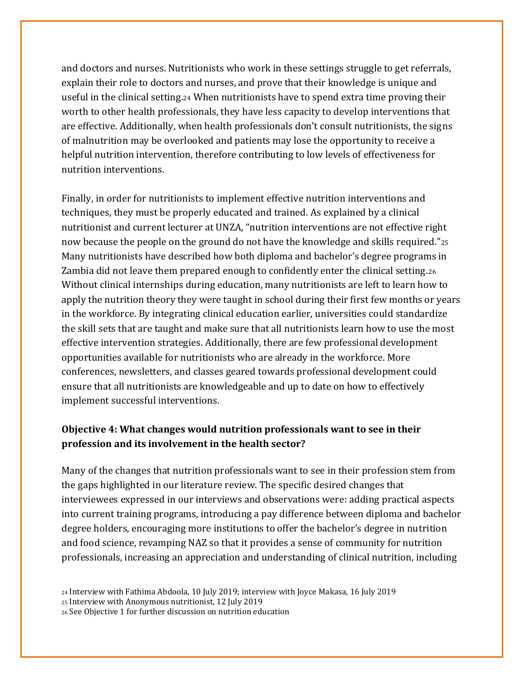and doctors and nurses. Nutritionists who work in these settings struggle to get referrals, explain their role to doctors and nurses, and prove that their knowledge is unique and useful in the clinical setting.<sup>24</sup> When nutritionists have to spend extra time proving their worth to other health professionals, they have less capacity to develop interventions that are effective. Additionally, when health professionals don't consult nutritionists, the signs of malnutrition may be overlooked and patients may lose the opportunity to receive a helpful nutrition intervention, therefore contributing to low levels of effectiveness for nutrition interventions.

Finally, in order for nutritionists to implement effective nutrition interventions and techniques, they must be properly educated and trained. As explained by a clinical nutritionist and current lecturer at UNZA, "nutrition interventions are not effective right now because the people on the ground do not have the knowledge and skills required."<sup>25</sup> Many nutritionists have described how both diploma and bachelor's degree programs in Zambia did not leave them prepared enough to confidently enter the clinical setting.<sup>26</sup> Without clinical internships during education, many nutritionists are left to learn how to apply the nutrition theory they were taught in school during their first few months or years in the workforce. By integrating clinical education earlier, universities could standardize the skill sets that are taught and make sure that all nutritionists learn how to use the most effective intervention strategies. Additionally, there are few professional development opportunities available for nutritionists who are already in the workforce. More conferences, newsletters, and classes geared towards professional development could ensure that all nutritionists are knowledgeable and up to date on how to effectively implement successful interventions.

#### **Objective 4: What changes would nutrition professionals want to see in their profession and its involvement in the health sector?**

Many of the changes that nutrition professionals want to see in their profession stem from the gaps highlighted in our literature review. The specific desired changes that interviewees expressed in our interviews and observations were: adding practical aspects into current training programs, introducing a pay difference between diploma and bachelor degree holders, encouraging more institutions to offer the bachelor's degree in nutrition and food science, revamping NAZ so that it provides a sense of community for nutrition professionals, increasing an appreciation and understanding of clinical nutrition, including

<sup>24</sup> Interview with Fathima Abdoola, 10 July 2019; interview with Joyce Makasa, 16 July 2019

<sup>25</sup> Interview with Anonymous nutritionist, 12 July 2019

<sup>26</sup> See Objective 1 for further discussion on nutrition education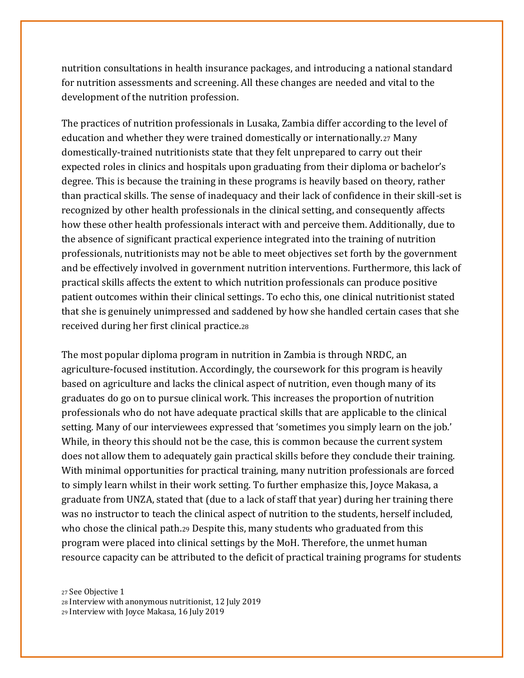nutrition consultations in health insurance packages, and introducing a national standard for nutrition assessments and screening. All these changes are needed and vital to the development of the nutrition profession.

The practices of nutrition professionals in Lusaka, Zambia differ according to the level of education and whether they were trained domestically or internationally.<sup>27</sup> Many domestically-trained nutritionists state that they felt unprepared to carry out their expected roles in clinics and hospitals upon graduating from their diploma or bachelor's degree. This is because the training in these programs is heavily based on theory, rather than practical skills. The sense of inadequacy and their lack of confidence in their skill-set is recognized by other health professionals in the clinical setting, and consequently affects how these other health professionals interact with and perceive them. Additionally, due to the absence of significant practical experience integrated into the training of nutrition professionals, nutritionists may not be able to meet objectives set forth by the government and be effectively involved in government nutrition interventions. Furthermore, this lack of practical skills affects the extent to which nutrition professionals can produce positive patient outcomes within their clinical settings. To echo this, one clinical nutritionist stated that she is genuinely unimpressed and saddened by how she handled certain cases that she received during her first clinical practice.<sup>28</sup>

The most popular diploma program in nutrition in Zambia is through NRDC, an agriculture-focused institution. Accordingly, the coursework for this program is heavily based on agriculture and lacks the clinical aspect of nutrition, even though many of its graduates do go on to pursue clinical work. This increases the proportion of nutrition professionals who do not have adequate practical skills that are applicable to the clinical setting. Many of our interviewees expressed that 'sometimes you simply learn on the job.' While, in theory this should not be the case, this is common because the current system does not allow them to adequately gain practical skills before they conclude their training. With minimal opportunities for practical training, many nutrition professionals are forced to simply learn whilst in their work setting. To further emphasize this, Joyce Makasa, a graduate from UNZA, stated that (due to a lack of staff that year) during her training there was no instructor to teach the clinical aspect of nutrition to the students, herself included, who chose the clinical path.<sup>29</sup> Despite this, many students who graduated from this program were placed into clinical settings by the MoH. Therefore, the unmet human resource capacity can be attributed to the deficit of practical training programs for students

<sup>27</sup> See Objective 1

<sup>28</sup> Interview with anonymous nutritionist, 12 July 2019

<sup>29</sup> Interview with Joyce Makasa, 16 July 2019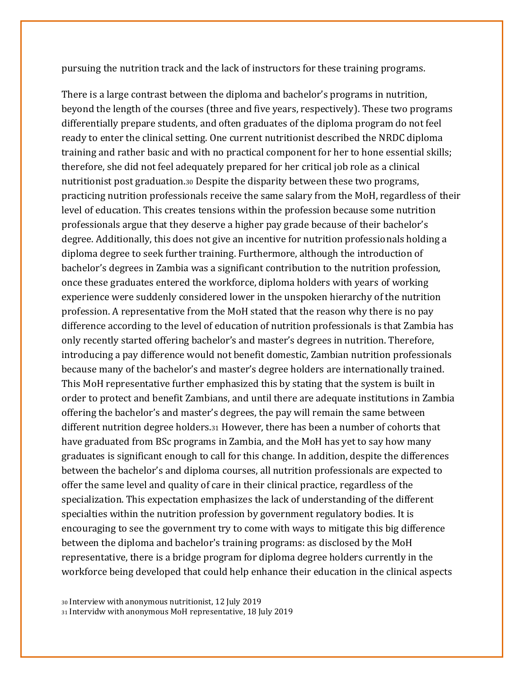pursuing the nutrition track and the lack of instructors for these training programs.

There is a large contrast between the diploma and bachelor's programs in nutrition, beyond the length of the courses (three and five years, respectively). These two programs differentially prepare students, and often graduates of the diploma program do not feel ready to enter the clinical setting. One current nutritionist described the NRDC diploma training and rather basic and with no practical component for her to hone essential skills; therefore, she did not feel adequately prepared for her critical job role as a clinical nutritionist post graduation.<sup>30</sup> Despite the disparity between these two programs, practicing nutrition professionals receive the same salary from the MoH, regardless of their level of education. This creates tensions within the profession because some nutrition professionals argue that they deserve a higher pay grade because of their bachelor's degree. Additionally, this does not give an incentive for nutrition professionals holding a diploma degree to seek further training. Furthermore, although the introduction of bachelor's degrees in Zambia was a significant contribution to the nutrition profession, once these graduates entered the workforce, diploma holders with years of working experience were suddenly considered lower in the unspoken hierarchy of the nutrition profession. A representative from the MoH stated that the reason why there is no pay difference according to the level of education of nutrition professionals is that Zambia has only recently started offering bachelor's and master's degrees in nutrition. Therefore, introducing a pay difference would not benefit domestic, Zambian nutrition professionals because many of the bachelor's and master's degree holders are internationally trained. This MoH representative further emphasized this by stating that the system is built in order to protect and benefit Zambians, and until there are adequate institutions in Zambia offering the bachelor's and master's degrees, the pay will remain the same between different nutrition degree holders.<sup>31</sup> However, there has been a number of cohorts that have graduated from BSc programs in Zambia, and the MoH has yet to say how many graduates is significant enough to call for this change. In addition, despite the differences between the bachelor's and diploma courses, all nutrition professionals are expected to offer the same level and quality of care in their clinical practice, regardless of the specialization. This expectation emphasizes the lack of understanding of the different specialties within the nutrition profession by government regulatory bodies. It is encouraging to see the government try to come with ways to mitigate this big difference between the diploma and bachelor's training programs: as disclosed by the MoH representative, there is a bridge program for diploma degree holders currently in the workforce being developed that could help enhance their education in the clinical aspects

<sup>30</sup> Interview with anonymous nutritionist, 12 July 2019 <sup>31</sup> Intervidw with anonymous MoH representative, 18 July 2019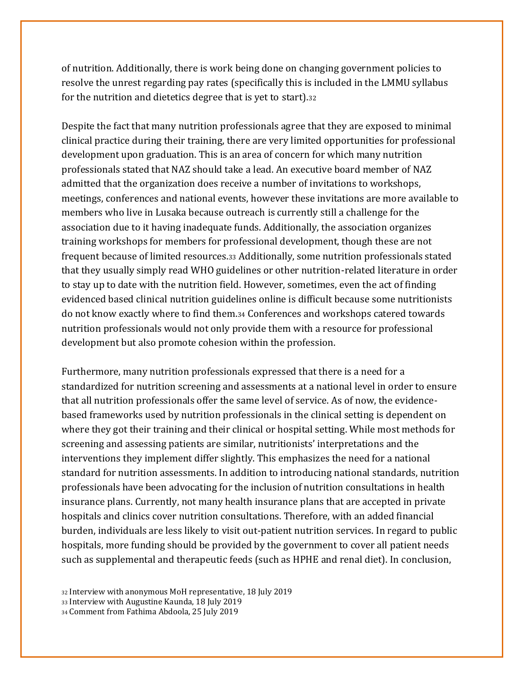of nutrition. Additionally, there is work being done on changing government policies to resolve the unrest regarding pay rates (specifically this is included in the LMMU syllabus for the nutrition and dietetics degree that is yet to start).<sup>32</sup>

Despite the fact that many nutrition professionals agree that they are exposed to minimal clinical practice during their training, there are very limited opportunities for professional development upon graduation. This is an area of concern for which many nutrition professionals stated that NAZ should take a lead. An executive board member of NAZ admitted that the organization does receive a number of invitations to workshops, meetings, conferences and national events, however these invitations are more available to members who live in Lusaka because outreach is currently still a challenge for the association due to it having inadequate funds. Additionally, the association organizes training workshops for members for professional development, though these are not frequent because of limited resources.<sup>33</sup> Additionally, some nutrition professionals stated that they usually simply read WHO guidelines or other nutrition-related literature in order to stay up to date with the nutrition field. However, sometimes, even the act of finding evidenced based clinical nutrition guidelines online is difficult because some nutritionists do not know exactly where to find them.<sup>34</sup> Conferences and workshops catered towards nutrition professionals would not only provide them with a resource for professional development but also promote cohesion within the profession.

Furthermore, many nutrition professionals expressed that there is a need for a standardized for nutrition screening and assessments at a national level in order to ensure that all nutrition professionals offer the same level of service. As of now, the evidencebased frameworks used by nutrition professionals in the clinical setting is dependent on where they got their training and their clinical or hospital setting. While most methods for screening and assessing patients are similar, nutritionists' interpretations and the interventions they implement differ slightly. This emphasizes the need for a national standard for nutrition assessments. In addition to introducing national standards, nutrition professionals have been advocating for the inclusion of nutrition consultations in health insurance plans. Currently, not many health insurance plans that are accepted in private hospitals and clinics cover nutrition consultations. Therefore, with an added financial burden, individuals are less likely to visit out-patient nutrition services. In regard to public hospitals, more funding should be provided by the government to cover all patient needs such as supplemental and therapeutic feeds (such as HPHE and renal diet). In conclusion,

<sup>32</sup> Interview with anonymous MoH representative, 18 July 2019

<sup>33</sup> Interview with Augustine Kaunda, 18 July 2019

<sup>34</sup> Comment from Fathima Abdoola, 25 July 2019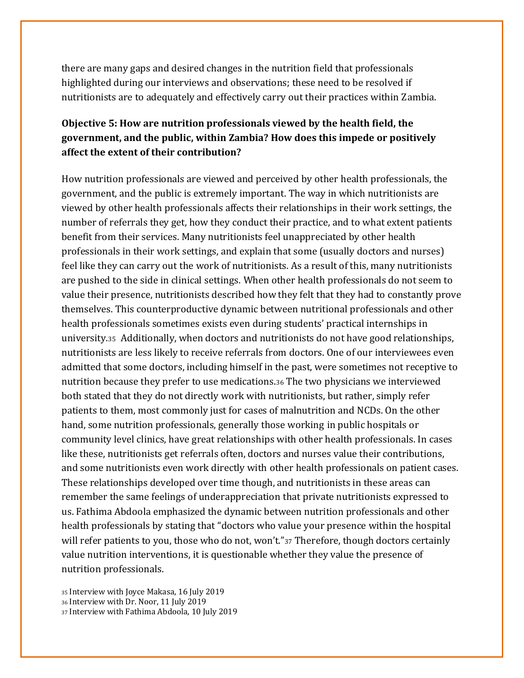there are many gaps and desired changes in the nutrition field that professionals highlighted during our interviews and observations; these need to be resolved if nutritionists are to adequately and effectively carry out their practices within Zambia.

#### **Objective 5: How are nutrition professionals viewed by the health field, the government, and the public, within Zambia? How does this impede or positively affect the extent of their contribution?**

How nutrition professionals are viewed and perceived by other health professionals, the government, and the public is extremely important. The way in which nutritionists are viewed by other health professionals affects their relationships in their work settings, the number of referrals they get, how they conduct their practice, and to what extent patients benefit from their services. Many nutritionists feel unappreciated by other health professionals in their work settings, and explain that some (usually doctors and nurses) feel like they can carry out the work of nutritionists. As a result of this, many nutritionists are pushed to the side in clinical settings. When other health professionals do not seem to value their presence, nutritionists described how they felt that they had to constantly prove themselves. This counterproductive dynamic between nutritional professionals and other health professionals sometimes exists even during students' practical internships in university.35 Additionally, when doctors and nutritionists do not have good relationships, nutritionists are less likely to receive referrals from doctors. One of our interviewees even admitted that some doctors, including himself in the past, were sometimes not receptive to nutrition because they prefer to use medications.<sup>36</sup> The two physicians we interviewed both stated that they do not directly work with nutritionists, but rather, simply refer patients to them, most commonly just for cases of malnutrition and NCDs. On the other hand, some nutrition professionals, generally those working in public hospitals or community level clinics, have great relationships with other health professionals. In cases like these, nutritionists get referrals often, doctors and nurses value their contributions, and some nutritionists even work directly with other health professionals on patient cases. These relationships developed over time though, and nutritionists in these areas can remember the same feelings of underappreciation that private nutritionists expressed to us. Fathima Abdoola emphasized the dynamic between nutrition professionals and other health professionals by stating that "doctors who value your presence within the hospital will refer patients to you, those who do not, won't."37 Therefore, though doctors certainly value nutrition interventions, it is questionable whether they value the presence of nutrition professionals.

<sup>35</sup> Interview with Joyce Makasa, 16 July 2019 <sup>36</sup> Interview with Dr. Noor, 11 July 2019 <sup>37</sup> Interview with Fathima Abdoola, 10 July 2019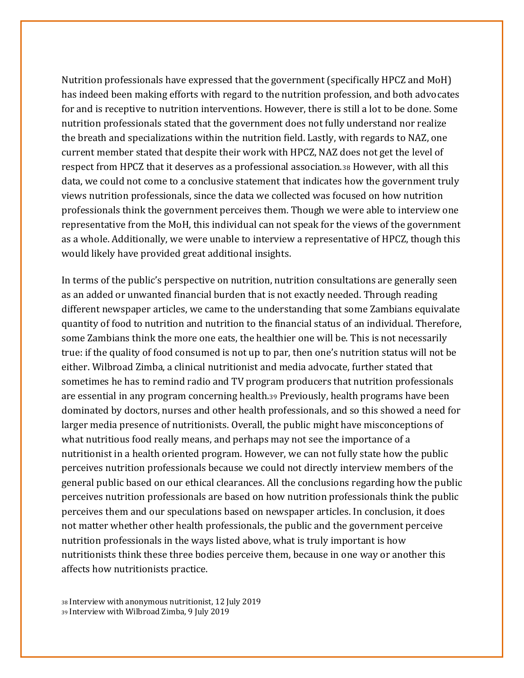Nutrition professionals have expressed that the government (specifically HPCZ and MoH) has indeed been making efforts with regard to the nutrition profession, and both advocates for and is receptive to nutrition interventions. However, there is still a lot to be done. Some nutrition professionals stated that the government does not fully understand nor realize the breath and specializations within the nutrition field. Lastly, with regards to NAZ, one current member stated that despite their work with HPCZ, NAZ does not get the level of respect from HPCZ that it deserves as a professional association.<sup>38</sup> However, with all this data, we could not come to a conclusive statement that indicates how the government truly views nutrition professionals, since the data we collected was focused on how nutrition professionals think the government perceives them. Though we were able to interview one representative from the MoH, this individual can not speak for the views of the government as a whole. Additionally, we were unable to interview a representative of HPCZ, though this would likely have provided great additional insights.

In terms of the public's perspective on nutrition, nutrition consultations are generally seen as an added or unwanted financial burden that is not exactly needed. Through reading different newspaper articles, we came to the understanding that some Zambians equivalate quantity of food to nutrition and nutrition to the financial status of an individual. Therefore, some Zambians think the more one eats, the healthier one will be. This is not necessarily true: if the quality of food consumed is not up to par, then one's nutrition status will not be either. Wilbroad Zimba, a clinical nutritionist and media advocate, further stated that sometimes he has to remind radio and TV program producers that nutrition professionals are essential in any program concerning health.<sup>39</sup> Previously, health programs have been dominated by doctors, nurses and other health professionals, and so this showed a need for larger media presence of nutritionists. Overall, the public might have misconceptions of what nutritious food really means, and perhaps may not see the importance of a nutritionist in a health oriented program. However, we can not fully state how the public perceives nutrition professionals because we could not directly interview members of the general public based on our ethical clearances. All the conclusions regarding how the public perceives nutrition professionals are based on how nutrition professionals think the public perceives them and our speculations based on newspaper articles. In conclusion, it does not matter whether other health professionals, the public and the government perceive nutrition professionals in the ways listed above, what is truly important is how nutritionists think these three bodies perceive them, because in one way or another this affects how nutritionists practice.

<sup>38</sup> Interview with anonymous nutritionist, 12 July 2019 <sup>39</sup> Interview with Wilbroad Zimba, 9 July 2019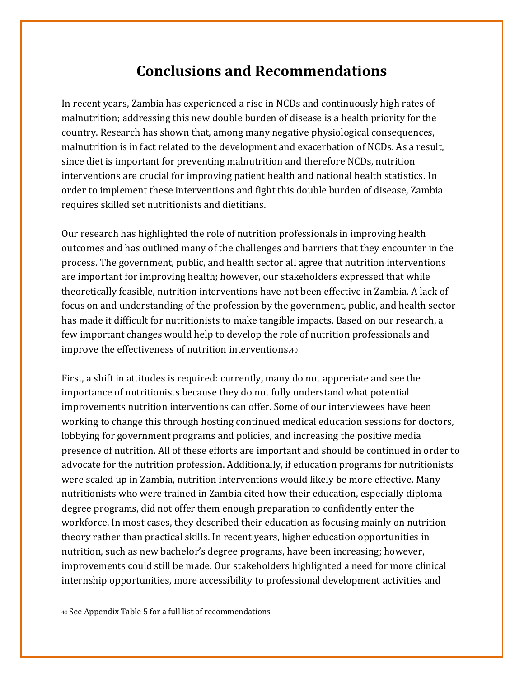## **Conclusions and Recommendations**

In recent years, Zambia has experienced a rise in NCDs and continuously high rates of malnutrition; addressing this new double burden of disease is a health priority for the country. Research has shown that, among many negative physiological consequences, malnutrition is in fact related to the development and exacerbation of NCDs. As a result, since diet is important for preventing malnutrition and therefore NCDs, nutrition interventions are crucial for improving patient health and national health statistics. In order to implement these interventions and fight this double burden of disease, Zambia requires skilled set nutritionists and dietitians.

Our research has highlighted the role of nutrition professionals in improving health outcomes and has outlined many of the challenges and barriers that they encounter in the process. The government, public, and health sector all agree that nutrition interventions are important for improving health; however, our stakeholders expressed that while theoretically feasible, nutrition interventions have not been effective in Zambia. A lack of focus on and understanding of the profession by the government, public, and health sector has made it difficult for nutritionists to make tangible impacts. Based on our research, a few important changes would help to develop the role of nutrition professionals and improve the effectiveness of nutrition interventions.<sup>40</sup>

First, a shift in attitudes is required: currently, many do not appreciate and see the importance of nutritionists because they do not fully understand what potential improvements nutrition interventions can offer. Some of our interviewees have been working to change this through hosting continued medical education sessions for doctors, lobbying for government programs and policies, and increasing the positive media presence of nutrition. All of these efforts are important and should be continued in order to advocate for the nutrition profession. Additionally, if education programs for nutritionists were scaled up in Zambia, nutrition interventions would likely be more effective. Many nutritionists who were trained in Zambia cited how their education, especially diploma degree programs, did not offer them enough preparation to confidently enter the workforce. In most cases, they described their education as focusing mainly on nutrition theory rather than practical skills. In recent years, higher education opportunities in nutrition, such as new bachelor's degree programs, have been increasing; however, improvements could still be made. Our stakeholders highlighted a need for more clinical internship opportunities, more accessibility to professional development activities and

<sup>40</sup> See Appendix Table 5 for a full list of recommendations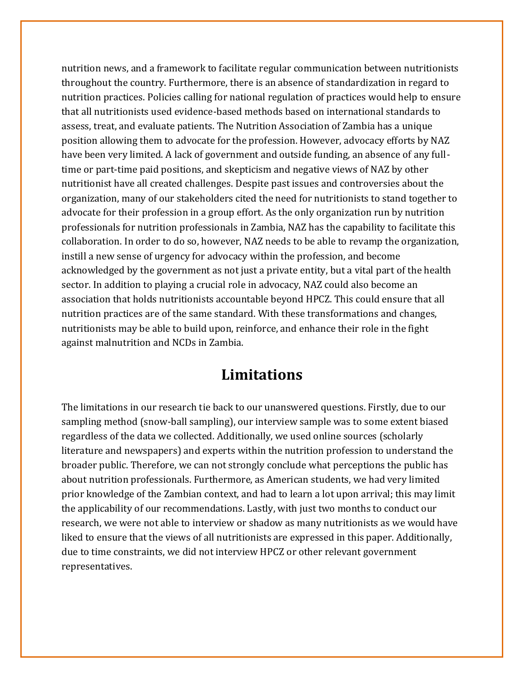nutrition news, and a framework to facilitate regular communication between nutritionists throughout the country. Furthermore, there is an absence of standardization in regard to nutrition practices. Policies calling for national regulation of practices would help to ensure that all nutritionists used evidence-based methods based on international standards to assess, treat, and evaluate patients. The Nutrition Association of Zambia has a unique position allowing them to advocate for the profession. However, advocacy efforts by NAZ have been very limited. A lack of government and outside funding, an absence of any fulltime or part-time paid positions, and skepticism and negative views of NAZ by other nutritionist have all created challenges. Despite past issues and controversies about the organization, many of our stakeholders cited the need for nutritionists to stand together to advocate for their profession in a group effort. As the only organization run by nutrition professionals for nutrition professionals in Zambia, NAZ has the capability to facilitate this collaboration. In order to do so, however, NAZ needs to be able to revamp the organization, instill a new sense of urgency for advocacy within the profession, and become acknowledged by the government as not just a private entity, but a vital part of the health sector. In addition to playing a crucial role in advocacy, NAZ could also become an association that holds nutritionists accountable beyond HPCZ. This could ensure that all nutrition practices are of the same standard. With these transformations and changes, nutritionists may be able to build upon, reinforce, and enhance their role in the fight against malnutrition and NCDs in Zambia.

## **Limitations**

The limitations in our research tie back to our unanswered questions. Firstly, due to our sampling method (snow-ball sampling), our interview sample was to some extent biased regardless of the data we collected. Additionally, we used online sources (scholarly literature and newspapers) and experts within the nutrition profession to understand the broader public. Therefore, we can not strongly conclude what perceptions the public has about nutrition professionals. Furthermore, as American students, we had very limited prior knowledge of the Zambian context, and had to learn a lot upon arrival; this may limit the applicability of our recommendations. Lastly, with just two months to conduct our research, we were not able to interview or shadow as many nutritionists as we would have liked to ensure that the views of all nutritionists are expressed in this paper. Additionally, due to time constraints, we did not interview HPCZ or other relevant government representatives.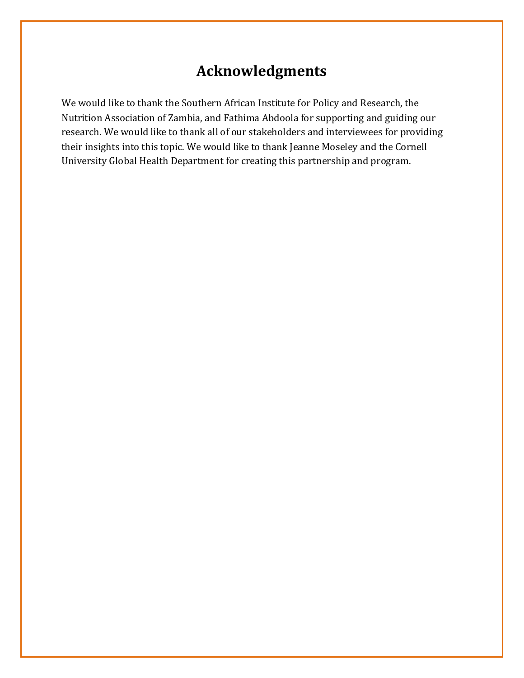## **Acknowledgments**

We would like to thank the Southern African Institute for Policy and Research, the Nutrition Association of Zambia, and Fathima Abdoola for supporting and guiding our research. We would like to thank all of our stakeholders and interviewees for providing their insights into this topic. We would like to thank Jeanne Moseley and the Cornell University Global Health Department for creating this partnership and program.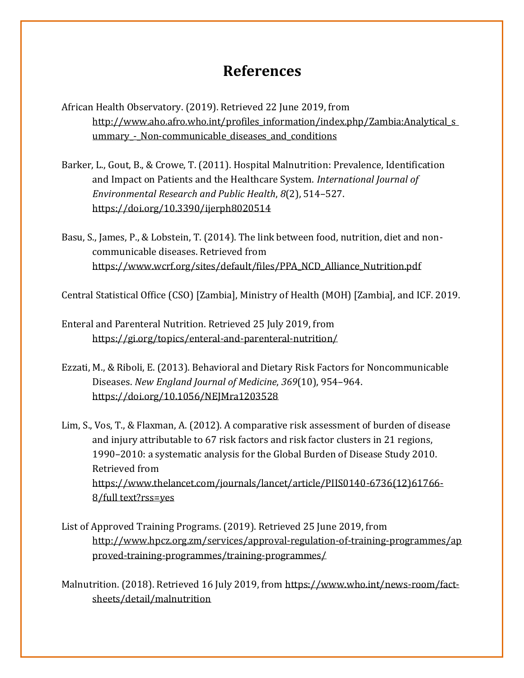## **References**

- African Health Observatory. (2019). Retrieved 22 June 2019, from http://www.aho.afro.who.int/profiles\_information/index.php/Zambia:Analytical\_s ummary - Non-communicable diseases and conditions
- Barker, L., Gout, B., & Crowe, T. (2011). Hospital Malnutrition: Prevalence, Identification and Impact on Patients and the Healthcare System. *International Journal of Environmental Research and Public Health*, *8*(2), 514–527. <https://doi.org/10.3390/ijerph8020514>
- Basu, S., James, P., & Lobstein, T. (2014). The link between food, nutrition, diet and noncommunicable diseases. Retrieved from [https://www.wcrf.org/sites/default/files/PPA\\_NCD\\_Alliance\\_Nutrition.pdf](https://www.wcrf.org/sites/default/files/PPA_NCD_Alliance_Nutrition.pdf)

Central Statistical Office (CSO) [Zambia], Ministry of Health (MOH) [Zambia], and ICF. 2019.

- Enteral and Parenteral Nutrition. Retrieved 25 July 2019, from <https://gi.org/topics/enteral-and-parenteral-nutrition/>
- Ezzati, M., & Riboli, E. (2013). Behavioral and Dietary Risk Factors for Noncommunicable Diseases. *New England Journal of Medicine*, *369*(10), 954–964. <https://doi.org/10.1056/NEJMra1203528>
- Lim, S., Vos, T., & Flaxman, A. (2012). A comparative risk assessment of burden of disease and injury attributable to 67 risk factors and risk factor clusters in 21 regions, 1990–2010: a systematic analysis for the Global Burden of Disease Study 2010. Retrieved from [https://www.thelancet.com/journals/lancet/article/PIIS0140-6736\(12\)61766-](https://www.thelancet.com/journals/lancet/article/PIIS0140-6736(12)61766-8/fulltext?rss=yes) [8/full](https://www.thelancet.com/journals/lancet/article/PIIS0140-6736(12)61766-8/fulltext?rss=yes) [text?rss=yes](https://www.thelancet.com/journals/lancet/article/PIIS0140-6736(12)61766-8/fulltext?rss=yes)
- List of Approved Training Programs. (2019). Retrieved 25 June 2019, from [http://www.hpcz.org.zm/services/approval-regulation-of-training-programmes/ap](http://www.hpcz.org.zm/services/approval-regulation-of-training-programmes/approved-training-programmes/training-programmes/) [proved-training-programmes/training-programmes/](http://www.hpcz.org.zm/services/approval-regulation-of-training-programmes/approved-training-programmes/training-programmes/)
- Malnutrition. (2018). Retrieved 16 July 2019, from [https://www.who.int/news-room/fact](https://www.who.int/news-room/fact-sheets/detail/malnutrition)[sheets/detail/malnutrition](https://www.who.int/news-room/fact-sheets/detail/malnutrition)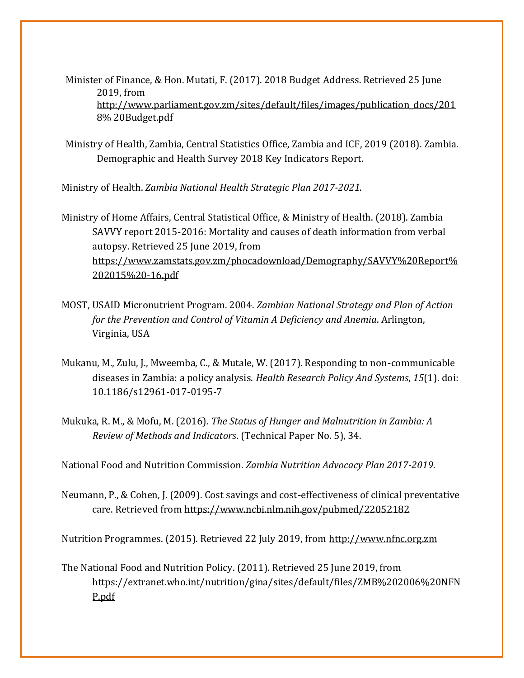Minister of Finance, & Hon. Mutati, F. (2017). 2018 Budget Address. Retrieved 25 June 2019, from [http://www.parliament.gov.zm/sites/default/files/images/publication\\_docs/201](http://www.parliament.gov.zm/sites/default/files/images/publication_docs/2018%20Budget.pdf) [8%](http://www.parliament.gov.zm/sites/default/files/images/publication_docs/2018%20Budget.pdf) [20Budget.pdf](http://www.parliament.gov.zm/sites/default/files/images/publication_docs/2018%20Budget.pdf)

Ministry of Health, Zambia, Central Statistics Office, Zambia and ICF, 2019 (2018). Zambia. Demographic and Health Survey 2018 Key Indicators Report.

Ministry of Health. *Zambia National Health Strategic Plan 2017-2021*.

Ministry of Home Affairs, Central Statistical Office, & Ministry of Health. (2018). Zambia SAVVY report 2015-2016: Mortality and causes of death information from verbal autopsy. Retrieved 25 June 2019, from [https://www.zamstats.gov.zm/phocadownload/Demography/SAVVY%20Report%](https://www.zamstats.gov.zm/phocadownload/Demography/SAVVY%20Report%202015%20-16.pdf) 202015%20-16.pdf

- MOST, USAID Micronutrient Program. 2004. *Zambian National Strategy and Plan of Action for the Prevention and Control of Vitamin A Deficiency and Anemia*. Arlington, Virginia, USA
- Mukanu, M., Zulu, J., Mweemba, C., & Mutale, W. (2017). Responding to non-communicable diseases in Zambia: a policy analysis. *Health Research Policy And Systems*, *15*(1). doi: 10.1186/s12961-017-0195-7
- Mukuka, R. M., & Mofu, M. (2016). *The Status of Hunger and Malnutrition in Zambia: A Review of Methods and Indicators*. (Technical Paper No. 5), 34.

National Food and Nutrition Commission. *Zambia Nutrition Advocacy Plan 2017-2019*.

Neumann, P., & Cohen, J. (2009). Cost savings and cost-effectiveness of clinical preventative care. Retrieved from<https://www.ncbi.nlm.nih.gov/pubmed/22052182>

Nutrition Programmes. (2015). Retrieved 22 July 2019, from [http://www.nfnc.org.zm](http://www.nfnc.org.zm/)

The National Food and Nutrition Policy. (2011). Retrieved 25 June 2019, from [https://extranet.who.int/nutrition/gina/sites/default/files/ZMB%202006%20NFN](https://extranet.who.int/nutrition/gina/sites/default/files/ZMB%202006%20NFNP.pdf) [P.](https://extranet.who.int/nutrition/gina/sites/default/files/ZMB%202006%20NFNP.pdf)pdf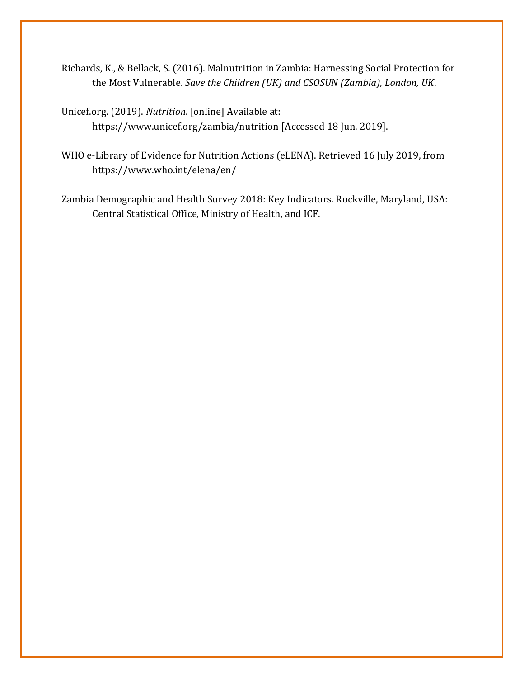- Richards, K., & Bellack, S. (2016). Malnutrition in Zambia: Harnessing Social Protection for the Most Vulnerable. *Save the Children (UK) and CSOSUN (Zambia), London, UK*.
- Unicef.org. (2019). *Nutrition*[. \[online\] Available at:](http://www.unicef.org/zambia/nutrition)  [https://www.unicef.org/zambia/nutrition](http://www.unicef.org/zambia/nutrition) [Accessed 18 Jun. 2019].
- WHO e-Library of Evidence for Nutrition Actions (eLENA). Retrieved 16 July 2019, from <https://www.who.int/elena/en/>
- <span id="page-27-0"></span>Zambia Demographic and Health Survey 2018: Key Indicators. Rockville, Maryland, USA: Central Statistical Office, Ministry of Health, and ICF.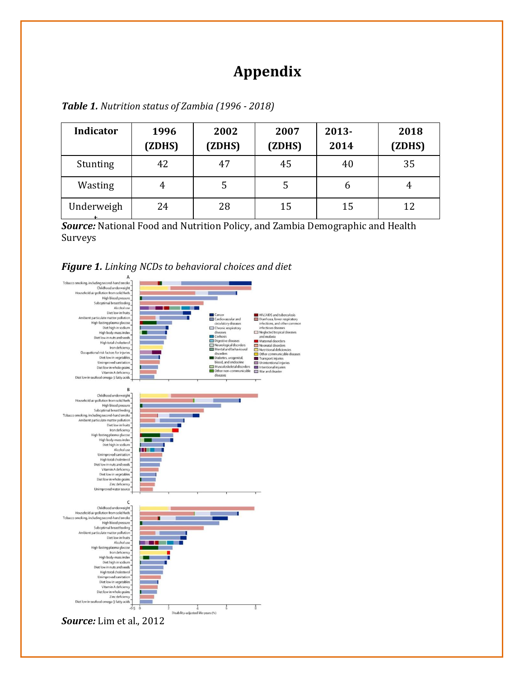## **Appendix**

| <b>Indicator</b> | 1996<br>(ZDHS) | 2002<br>(ZDHS) | 2007<br>(ZDHS) | $2013 -$<br>2014 | 2018<br>(ZDHS) |
|------------------|----------------|----------------|----------------|------------------|----------------|
| Stunting         | 42             | 47             | 45             | 40               | 35             |
| Wasting          | 4              | 5              | כ              | b                | 4              |
| Underweigh       | 24             | 28             | 15             | 15               | 12             |

<span id="page-28-0"></span>

| Table 1. Nutrition status of Zambia (1996 - 2018) |  |  |
|---------------------------------------------------|--|--|
|---------------------------------------------------|--|--|

t *Source:* National Food and Nutrition Policy, and Zambia Demographic and Health Surveys

#### *Figure 1. Linking NCDs to behavioral choices and diet*

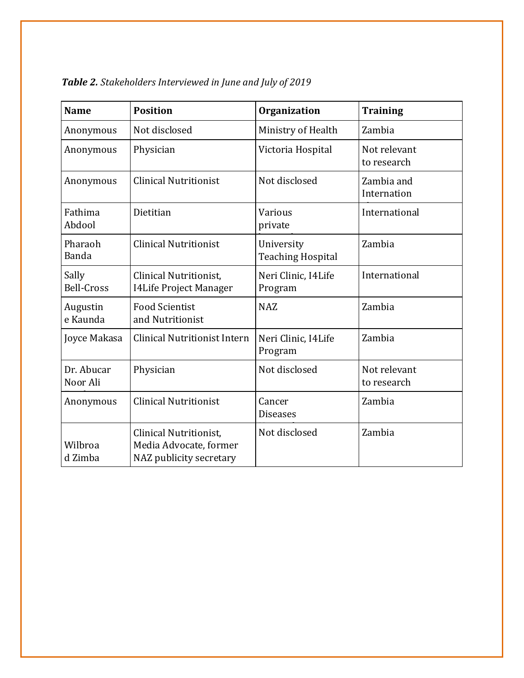| <b>Name</b>                | <b>Position</b>                                                             | Organization                           | <b>Training</b>             |
|----------------------------|-----------------------------------------------------------------------------|----------------------------------------|-----------------------------|
| Anonymous                  | Not disclosed                                                               | Ministry of Health                     | Zambia                      |
| Anonymous                  | Physician                                                                   | Victoria Hospital                      | Not relevant<br>to research |
| Anonymous                  | <b>Clinical Nutritionist</b>                                                | Not disclosed                          | Zambia and<br>Internation   |
| Fathima<br>Abdool          | Dietitian                                                                   | Various<br>private                     | International               |
| Pharaoh<br>Banda           | <b>Clinical Nutritionist</b>                                                | University<br><b>Teaching Hospital</b> | Zambia                      |
| Sally<br><b>Bell-Cross</b> | Clinical Nutritionist,<br>I4Life Project Manager                            | Neri Clinic, I4Life<br>Program         | International               |
| Augustin<br>e Kaunda       | <b>Food Scientist</b><br>and Nutritionist                                   | <b>NAZ</b>                             | Zambia                      |
| Joyce Makasa               | <b>Clinical Nutritionist Intern</b>                                         | Neri Clinic, I4Life<br>Program         | Zambia                      |
| Dr. Abucar<br>Noor Ali     | Physician                                                                   | Not disclosed                          | Not relevant<br>to research |
| Anonymous                  | <b>Clinical Nutritionist</b>                                                | Cancer<br><b>Diseases</b>              | Zambia                      |
| Wilbroa<br>d Zimba         | Clinical Nutritionist,<br>Media Advocate, former<br>NAZ publicity secretary | Not disclosed                          | Zambia                      |

*Table 2. Stakeholders Interviewed in June and July of 2019*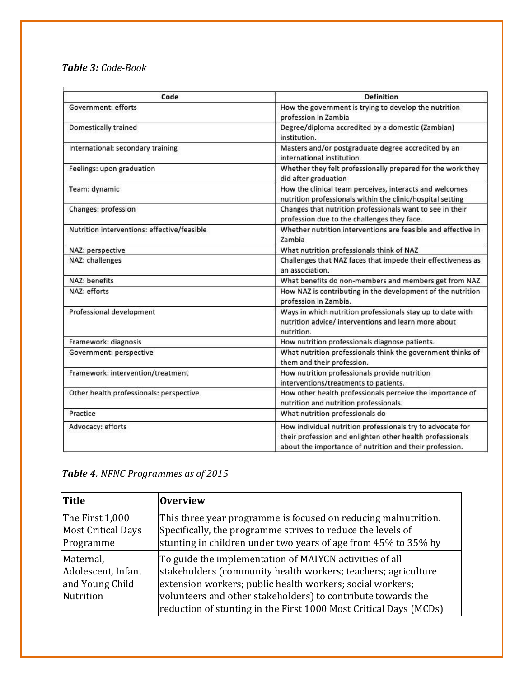#### *Table 3: Code-Book*

| Code                                        | <b>Definition</b>                                                                                                                                                                  |  |  |
|---------------------------------------------|------------------------------------------------------------------------------------------------------------------------------------------------------------------------------------|--|--|
| <b>Government: efforts</b>                  | How the government is trying to develop the nutrition<br>profession in Zambia                                                                                                      |  |  |
| Domestically trained                        | Degree/diploma accredited by a domestic (Zambian)<br>institution.                                                                                                                  |  |  |
| International: secondary training           | Masters and/or postgraduate degree accredited by an<br>international institution                                                                                                   |  |  |
| Feelings: upon graduation                   | Whether they felt professionally prepared for the work they<br>did after graduation                                                                                                |  |  |
| Team: dynamic                               | How the clinical team perceives, interacts and welcomes<br>nutrition professionals within the clinic/hospital setting                                                              |  |  |
| Changes: profession                         | Changes that nutrition professionals want to see in their<br>profession due to the challenges they face.                                                                           |  |  |
| Nutrition interventions: effective/feasible | Whether nutrition interventions are feasible and effective in<br><b>Zambia</b>                                                                                                     |  |  |
| NAZ: perspective                            | What nutrition professionals think of NAZ                                                                                                                                          |  |  |
| NAZ: challenges                             | Challenges that NAZ faces that impede their effectiveness as<br>an association.                                                                                                    |  |  |
| NAZ: benefits                               | What benefits do non-members and members get from NAZ                                                                                                                              |  |  |
| NAZ: efforts                                | How NAZ is contributing in the development of the nutrition<br>profession in Zambia.                                                                                               |  |  |
| Professional development                    | Ways in which nutrition professionals stay up to date with<br>nutrition advice/ interventions and learn more about<br>nutrition.                                                   |  |  |
| Framework: diagnosis                        | How nutrition professionals diagnose patients.                                                                                                                                     |  |  |
| Government: perspective                     | What nutrition professionals think the government thinks of<br>them and their profession.                                                                                          |  |  |
| Framework: intervention/treatment           | How nutrition professionals provide nutrition<br>interventions/treatments to patients.                                                                                             |  |  |
| Other health professionals: perspective     | How other health professionals perceive the importance of<br>nutrition and nutrition professionals.                                                                                |  |  |
| Practice                                    | What nutrition professionals do                                                                                                                                                    |  |  |
| Advocacy: efforts                           | How individual nutrition professionals try to advocate for<br>their profession and enlighten other health professionals<br>about the importance of nutrition and their profession. |  |  |

## *Table 4. NFNC Programmes as of 2015*

| <b>Title</b>                                                    | <b>Overview</b>                                                                                                                                                                                                                                                                                                            |
|-----------------------------------------------------------------|----------------------------------------------------------------------------------------------------------------------------------------------------------------------------------------------------------------------------------------------------------------------------------------------------------------------------|
| The First 1,000<br><b>Most Critical Days</b><br>Programme       | This three year programme is focused on reducing malnutrition.<br>Specifically, the programme strives to reduce the levels of<br>stunting in children under two years of age from 45% to 35% by                                                                                                                            |
| Maternal,<br>Adolescent, Infant<br>and Young Child<br>Nutrition | To guide the implementation of MAIYCN activities of all<br>stakeholders (community health workers; teachers; agriculture<br>extension workers; public health workers; social workers;<br>volunteers and other stakeholders) to contribute towards the<br>reduction of stunting in the First 1000 Most Critical Days (MCDs) |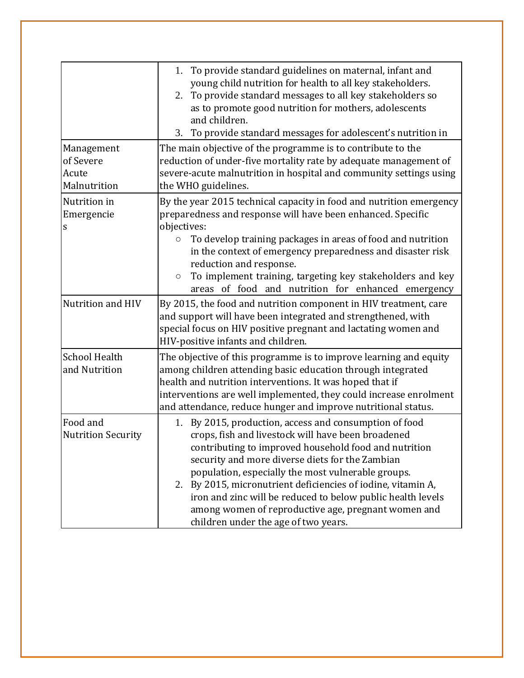|                                                  | 1. To provide standard guidelines on maternal, infant and<br>young child nutrition for health to all key stakeholders.<br>2. To provide standard messages to all key stakeholders so<br>as to promote good nutrition for mothers, adolescents<br>and children.<br>3. To provide standard messages for adolescent's nutrition in                                                                                                                                                                                 |
|--------------------------------------------------|-----------------------------------------------------------------------------------------------------------------------------------------------------------------------------------------------------------------------------------------------------------------------------------------------------------------------------------------------------------------------------------------------------------------------------------------------------------------------------------------------------------------|
| Management<br>of Severe<br>Acute<br>Malnutrition | The main objective of the programme is to contribute to the<br>reduction of under-five mortality rate by adequate management of<br>severe-acute malnutrition in hospital and community settings using<br>the WHO guidelines.                                                                                                                                                                                                                                                                                    |
| Nutrition in<br>Emergencie<br>S                  | By the year 2015 technical capacity in food and nutrition emergency<br>preparedness and response will have been enhanced. Specific<br>objectives:<br>To develop training packages in areas of food and nutrition<br>$\bigcirc$<br>in the context of emergency preparedness and disaster risk<br>reduction and response.<br>To implement training, targeting key stakeholders and key<br>$\bigcirc$<br>areas of food and nutrition for enhanced emergency                                                        |
| Nutrition and HIV                                | By 2015, the food and nutrition component in HIV treatment, care<br>and support will have been integrated and strengthened, with<br>special focus on HIV positive pregnant and lactating women and<br>HIV-positive infants and children.                                                                                                                                                                                                                                                                        |
| <b>School Health</b><br>and Nutrition            | The objective of this programme is to improve learning and equity<br>among children attending basic education through integrated<br>health and nutrition interventions. It was hoped that if<br>interventions are well implemented, they could increase enrolment<br>and attendance, reduce hunger and improve nutritional status.                                                                                                                                                                              |
| Food and<br><b>Nutrition Security</b>            | By 2015, production, access and consumption of food<br>1.<br>crops, fish and livestock will have been broadened<br>contributing to improved household food and nutrition<br>security and more diverse diets for the Zambian<br>population, especially the most vulnerable groups.<br>2. By 2015, micronutrient deficiencies of iodine, vitamin A,<br>iron and zinc will be reduced to below public health levels<br>among women of reproductive age, pregnant women and<br>children under the age of two years. |